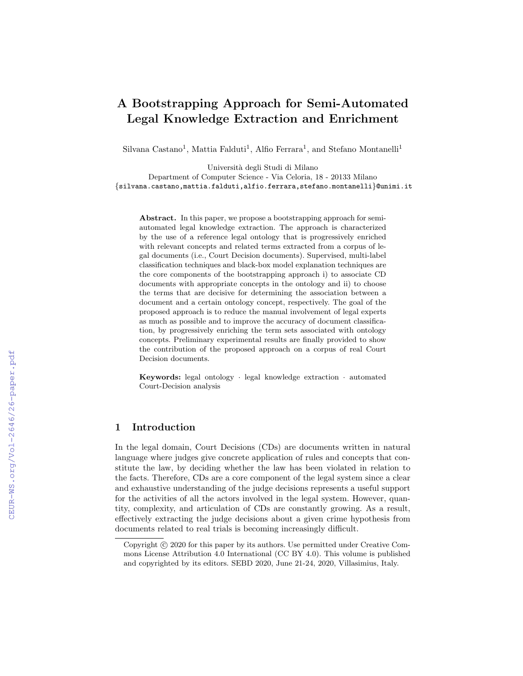# A Bootstrapping Approach for Semi-Automated Legal Knowledge Extraction and Enrichment

Silvana Castano<sup>1</sup>, Mattia Falduti<sup>1</sup>, Alfio Ferrara<sup>1</sup>, and Stefano Montanelli<sup>1</sup>

Universit`a degli Studi di Milano

Department of Computer Science - Via Celoria, 18 - 20133 Milano {silvana.castano,mattia.falduti,alfio.ferrara,stefano.montanelli}@unimi.it

Abstract. In this paper, we propose a bootstrapping approach for semiautomated legal knowledge extraction. The approach is characterized by the use of a reference legal ontology that is progressively enriched with relevant concepts and related terms extracted from a corpus of legal documents (i.e., Court Decision documents). Supervised, multi-label classification techniques and black-box model explanation techniques are the core components of the bootstrapping approach i) to associate CD documents with appropriate concepts in the ontology and ii) to choose the terms that are decisive for determining the association between a document and a certain ontology concept, respectively. The goal of the proposed approach is to reduce the manual involvement of legal experts as much as possible and to improve the accuracy of document classification, by progressively enriching the term sets associated with ontology concepts. Preliminary experimental results are finally provided to show the contribution of the proposed approach on a corpus of real Court Decision documents.

Keywords: legal ontology · legal knowledge extraction · automated Court-Decision analysis

## 1 Introduction

In the legal domain, Court Decisions (CDs) are documents written in natural language where judges give concrete application of rules and concepts that constitute the law, by deciding whether the law has been violated in relation to the facts. Therefore, CDs are a core component of the legal system since a clear and exhaustive understanding of the judge decisions represents a useful support for the activities of all the actors involved in the legal system. However, quantity, complexity, and articulation of CDs are constantly growing. As a result, effectively extracting the judge decisions about a given crime hypothesis from documents related to real trials is becoming increasingly difficult.

Copyright  $\odot$  2020 for this paper by its authors. Use permitted under Creative Commons License Attribution 4.0 International (CC BY 4.0). This volume is published and copyrighted by its editors. SEBD 2020, June 21-24, 2020, Villasimius, Italy.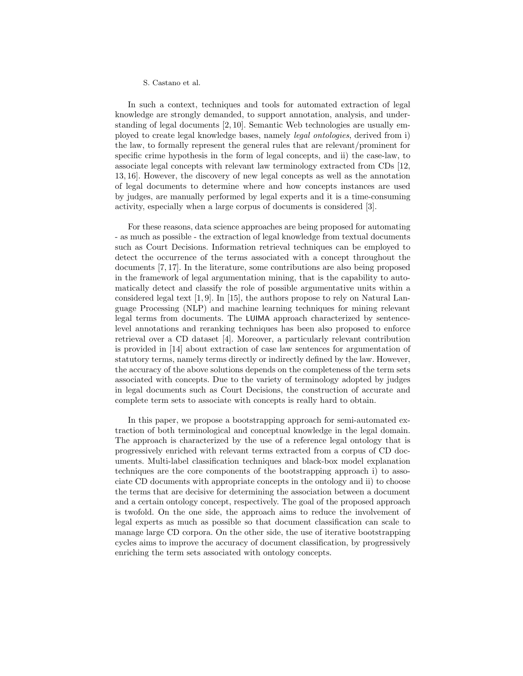In such a context, techniques and tools for automated extraction of legal knowledge are strongly demanded, to support annotation, analysis, and understanding of legal documents [2, 10]. Semantic Web technologies are usually employed to create legal knowledge bases, namely legal ontologies, derived from i) the law, to formally represent the general rules that are relevant/prominent for specific crime hypothesis in the form of legal concepts, and ii) the case-law, to associate legal concepts with relevant law terminology extracted from CDs [12, 13, 16]. However, the discovery of new legal concepts as well as the annotation of legal documents to determine where and how concepts instances are used by judges, are manually performed by legal experts and it is a time-consuming activity, especially when a large corpus of documents is considered [3].

For these reasons, data science approaches are being proposed for automating - as much as possible - the extraction of legal knowledge from textual documents such as Court Decisions. Information retrieval techniques can be employed to detect the occurrence of the terms associated with a concept throughout the documents [7, 17]. In the literature, some contributions are also being proposed in the framework of legal argumentation mining, that is the capability to automatically detect and classify the role of possible argumentative units within a considered legal text [1, 9]. In [15], the authors propose to rely on Natural Language Processing (NLP) and machine learning techniques for mining relevant legal terms from documents. The LUIMA approach characterized by sentencelevel annotations and reranking techniques has been also proposed to enforce retrieval over a CD dataset [4]. Moreover, a particularly relevant contribution is provided in [14] about extraction of case law sentences for argumentation of statutory terms, namely terms directly or indirectly defined by the law. However, the accuracy of the above solutions depends on the completeness of the term sets associated with concepts. Due to the variety of terminology adopted by judges in legal documents such as Court Decisions, the construction of accurate and complete term sets to associate with concepts is really hard to obtain.

In this paper, we propose a bootstrapping approach for semi-automated extraction of both terminological and conceptual knowledge in the legal domain. The approach is characterized by the use of a reference legal ontology that is progressively enriched with relevant terms extracted from a corpus of CD documents. Multi-label classification techniques and black-box model explanation techniques are the core components of the bootstrapping approach i) to associate CD documents with appropriate concepts in the ontology and ii) to choose the terms that are decisive for determining the association between a document and a certain ontology concept, respectively. The goal of the proposed approach is twofold. On the one side, the approach aims to reduce the involvement of legal experts as much as possible so that document classification can scale to manage large CD corpora. On the other side, the use of iterative bootstrapping cycles aims to improve the accuracy of document classification, by progressively enriching the term sets associated with ontology concepts.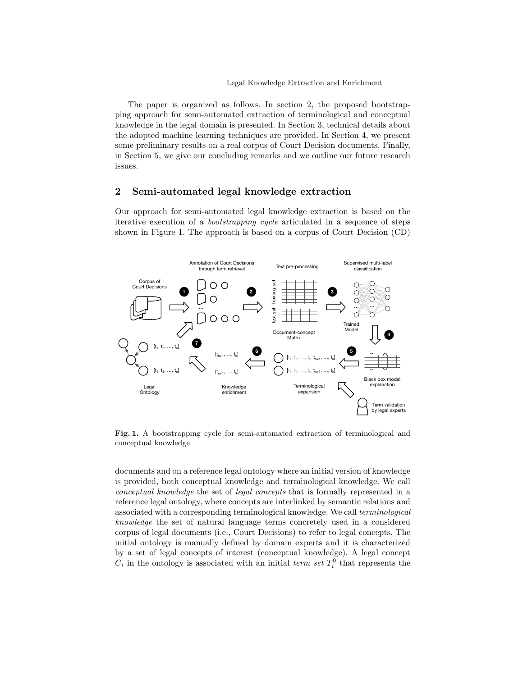The paper is organized as follows. In section 2, the proposed bootstrapping approach for semi-automated extraction of terminological and conceptual knowledge in the legal domain is presented. In Section 3, technical details about the adopted machine learning techniques are provided. In Section 4, we present some preliminary results on a real corpus of Court Decision documents. Finally, in Section 5, we give our concluding remarks and we outline our future research issues.

# 2 Semi-automated legal knowledge extraction

Our approach for semi-automated legal knowledge extraction is based on the iterative execution of a bootstrapping cycle articulated in a sequence of steps shown in Figure 1. The approach is based on a corpus of Court Decision (CD)



Fig. 1. A bootstrapping cycle for semi-automated extraction of terminological and conceptual knowledge

documents and on a reference legal ontology where an initial version of knowledge is provided, both conceptual knowledge and terminological knowledge. We call conceptual knowledge the set of legal concepts that is formally represented in a reference legal ontology, where concepts are interlinked by semantic relations and associated with a corresponding terminological knowledge. We call terminological knowledge the set of natural language terms concretely used in a considered corpus of legal documents (i.e., Court Decisions) to refer to legal concepts. The initial ontology is manually defined by domain experts and it is characterized by a set of legal concepts of interest (conceptual knowledge). A legal concept  $C_i$  in the ontology is associated with an initial term set  $T_i^0$  that represents the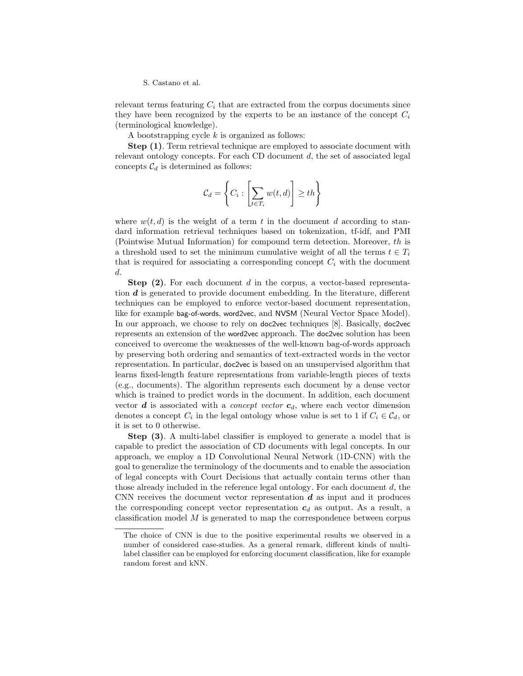relevant terms featuring  $C_i$  that are extracted from the corpus documents since they have been recognized by the experts to be an instance of the concept  $C_i$ (terminological knowledge).

A bootstrapping cycle  $k$  is organized as follows:

Step (1). Term retrieval technique are employed to associate document with relevant ontology concepts. For each CD document  $d$ , the set of associated legal concepts  $C_d$  is determined as follows:

$$
C_d = \left\{ C_i : \left[ \sum_{t \in T_i} w(t, d) \right] \geq th \right\}
$$

where  $w(t, d)$  is the weight of a term t in the document d according to standard information retrieval techniques based on tokenization, tf-idf, and PMI (Pointwise Mutual Information) for compound term detection. Moreover, th is a threshold used to set the minimum cumulative weight of all the terms  $t \in T_i$ that is required for associating a corresponding concept  $C_i$  with the document d.

Step (2). For each document d in the corpus, a vector-based representation d is generated to provide document embedding. In the literature, different techniques can be employed to enforce vector-based document representation, like for example bag-of-words, word2vec, and NVSM (Neural Vector Space Model). In our approach, we choose to rely on doc2vec techniques [8]. Basically, doc2vec represents an extension of the word2vec approach. The doc2vec solution has been conceived to overcome the weaknesses of the well-known bag-of-words approach by preserving both ordering and semantics of text-extracted words in the vector representation. In particular, doc2vec is based on an unsupervised algorithm that learns fixed-length feature representations from variable-length pieces of texts (e.g., documents). The algorithm represents each document by a dense vector which is trained to predict words in the document. In addition, each document vector  $\boldsymbol{d}$  is associated with a *concept vector*  $\boldsymbol{c}_d$ , where each vector dimension denotes a concept  $C_i$  in the legal ontology whose value is set to 1 if  $C_i \in C_d$ , or it is set to 0 otherwise.

Step (3). A multi-label classifier is employed to generate a model that is capable to predict the association of CD documents with legal concepts. In our approach, we employ a 1D Convolutional Neural Network (1D-CNN) with the goal to generalize the terminology of the documents and to enable the association of legal concepts with Court Decisions that actually contain terms other than those already included in the reference legal ontology. For each document  $d$ , the CNN receives the document vector representation  $d$  as input and it produces the corresponding concept vector representation  $c_d$  as output. As a result, a classification model  $M$  is generated to map the correspondence between corpus

The choice of CNN is due to the positive experimental results we observed in a number of considered case-studies. As a general remark, different kinds of multilabel classifier can be employed for enforcing document classification, like for example random forest and kNN.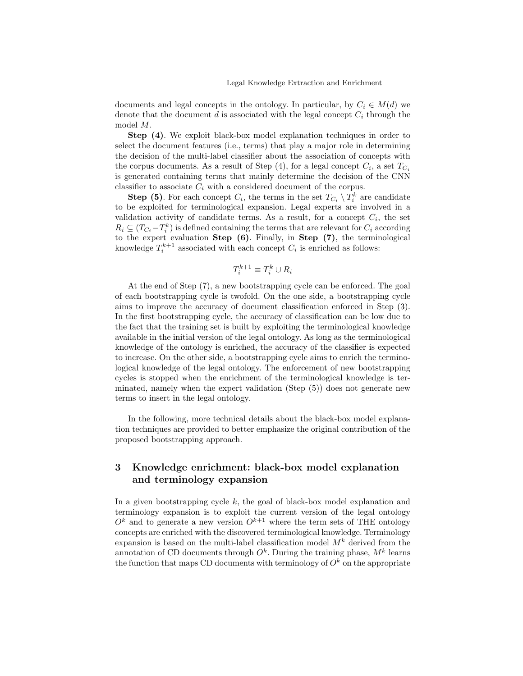documents and legal concepts in the ontology. In particular, by  $C_i \in M(d)$  we denote that the document  $d$  is associated with the legal concept  $C_i$  through the model M.

Step (4). We exploit black-box model explanation techniques in order to select the document features (i.e., terms) that play a major role in determining the decision of the multi-label classifier about the association of concepts with the corpus documents. As a result of Step  $(4)$ , for a legal concept  $C_i$ , a set  $T_{C_i}$ is generated containing terms that mainly determine the decision of the CNN classifier to associate  $C_i$  with a considered document of the corpus.

**Step (5)**. For each concept  $C_i$ , the terms in the set  $T_{C_i} \setminus T_i^k$  are candidate to be exploited for terminological expansion. Legal experts are involved in a validation activity of candidate terms. As a result, for a concept  $C_i$ , the set  $R_i \subseteq (T_{C_i} - T_i^k)$  is defined containing the terms that are relevant for  $C_i$  according to the expert evaluation Step (6). Finally, in Step (7), the terminological knowledge  $T_i^{k+1}$  associated with each concept  $C_i$  is enriched as follows:

$$
T_i^{k+1} \equiv T_i^k \cup R_i
$$

At the end of Step (7), a new bootstrapping cycle can be enforced. The goal of each bootstrapping cycle is twofold. On the one side, a bootstrapping cycle aims to improve the accuracy of document classification enforced in Step (3). In the first bootstrapping cycle, the accuracy of classification can be low due to the fact that the training set is built by exploiting the terminological knowledge available in the initial version of the legal ontology. As long as the terminological knowledge of the ontology is enriched, the accuracy of the classifier is expected to increase. On the other side, a bootstrapping cycle aims to enrich the terminological knowledge of the legal ontology. The enforcement of new bootstrapping cycles is stopped when the enrichment of the terminological knowledge is terminated, namely when the expert validation (Step (5)) does not generate new terms to insert in the legal ontology.

In the following, more technical details about the black-box model explanation techniques are provided to better emphasize the original contribution of the proposed bootstrapping approach.

# 3 Knowledge enrichment: black-box model explanation and terminology expansion

In a given bootstrapping cycle  $k$ , the goal of black-box model explanation and terminology expansion is to exploit the current version of the legal ontology  $O<sup>k</sup>$  and to generate a new version  $O<sup>k+1</sup>$  where the term sets of THE ontology concepts are enriched with the discovered terminological knowledge. Terminology expansion is based on the multi-label classification model  $M^k$  derived from the annotation of CD documents through  $O^k$ . During the training phase,  $M^k$  learns the function that maps CD documents with terminology of  $O<sup>k</sup>$  on the appropriate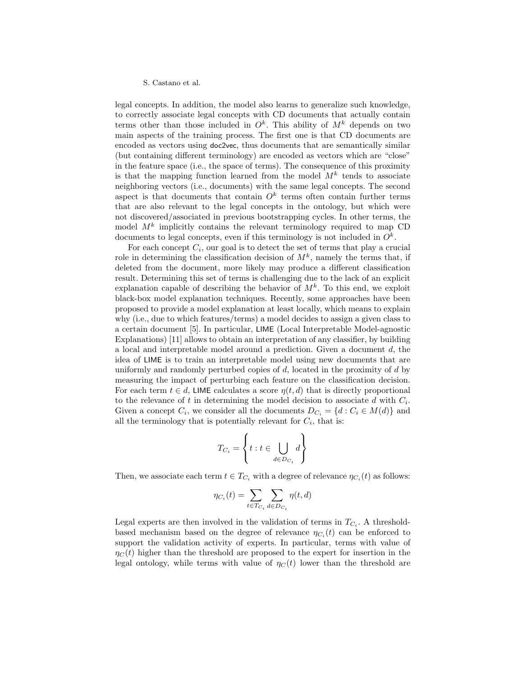legal concepts. In addition, the model also learns to generalize such knowledge, to correctly associate legal concepts with CD documents that actually contain terms other than those included in  $O^k$ . This ability of  $M^k$  depends on two main aspects of the training process. The first one is that CD documents are encoded as vectors using doc2vec, thus documents that are semantically similar (but containing different terminology) are encoded as vectors which are "close" in the feature space (i.e., the space of terms). The consequence of this proximity is that the mapping function learned from the model  $M^k$  tends to associate neighboring vectors (i.e., documents) with the same legal concepts. The second aspect is that documents that contain  $O^k$  terms often contain further terms that are also relevant to the legal concepts in the ontology, but which were not discovered/associated in previous bootstrapping cycles. In other terms, the model  $M^k$  implicitly contains the relevant terminology required to map CD documents to legal concepts, even if this terminology is not included in  $O^k$ .

For each concept  $C_i$ , our goal is to detect the set of terms that play a crucial role in determining the classification decision of  $M^k$ , namely the terms that, if deleted from the document, more likely may produce a different classification result. Determining this set of terms is challenging due to the lack of an explicit explanation capable of describing the behavior of  $M<sup>k</sup>$ . To this end, we exploit black-box model explanation techniques. Recently, some approaches have been proposed to provide a model explanation at least locally, which means to explain why (i.e., due to which features/terms) a model decides to assign a given class to a certain document [5]. In particular, LIME (Local Interpretable Model-agnostic Explanations) [11] allows to obtain an interpretation of any classifier, by building a local and interpretable model around a prediction. Given a document d, the idea of LIME is to train an interpretable model using new documents that are uniformly and randomly perturbed copies of  $d$ , located in the proximity of  $d$  by measuring the impact of perturbing each feature on the classification decision. For each term  $t \in d$ , LIME calculates a score  $\eta(t, d)$  that is directly proportional to the relevance of t in determining the model decision to associate  $d$  with  $C_i$ . Given a concept  $C_i$ , we consider all the documents  $D_{C_i} = \{d : C_i \in M(d)\}\$ and all the terminology that is potentially relevant for  $C_i$ , that is:

$$
T_{C_i} = \left\{ t : t \in \bigcup_{d \in D_{C_i}} d \right\}
$$

Then, we associate each term  $t \in T_{C_i}$  with a degree of relevance  $\eta_{C_i}(t)$  as follows:

$$
\eta_{C_i}(t) = \sum_{t \in T_{C_i}} \sum_{d \in D_{C_i}} \eta(t, d)
$$

Legal experts are then involved in the validation of terms in  $T_{C_i}$ . A thresholdbased mechanism based on the degree of relevance  $\eta_{C_i}(t)$  can be enforced to support the validation activity of experts. In particular, terms with value of  $\eta_C(t)$  higher than the threshold are proposed to the expert for insertion in the legal ontology, while terms with value of  $\eta_C(t)$  lower than the threshold are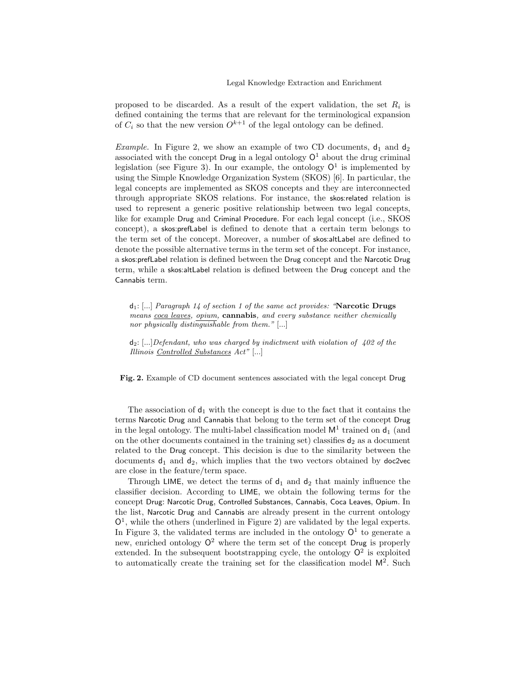proposed to be discarded. As a result of the expert validation, the set  $R_i$  is defined containing the terms that are relevant for the terminological expansion of  $C_i$  so that the new version  $O^{k+1}$  of the legal ontology can be defined.

*Example.* In Figure 2, we show an example of two CD documents,  $d_1$  and  $d_2$ associated with the concept Drug in a legal ontology  $O<sup>1</sup>$  about the drug criminal legislation (see Figure 3). In our example, the ontology  $O<sup>1</sup>$  is implemented by using the Simple Knowledge Organization System (SKOS) [6]. In particular, the legal concepts are implemented as SKOS concepts and they are interconnected through appropriate SKOS relations. For instance, the skos:related relation is used to represent a generic positive relationship between two legal concepts, like for example Drug and Criminal Procedure. For each legal concept (i.e., SKOS concept), a skos:prefLabel is defined to denote that a certain term belongs to the term set of the concept. Moreover, a number of skos:altLabel are defined to denote the possible alternative terms in the term set of the concept. For instance, a skos:prefLabel relation is defined between the Drug concept and the Narcotic Drug term, while a skos:altLabel relation is defined between the Drug concept and the Cannabis term.

 $d_1$ : [...] Paragraph 14 of section 1 of the same act provides: "Narcotic Drugs means coca leaves, opium, **cannabis**, and every substance neither chemically nor physically distinguishable from them."  $[...]$ 

 $d_2$ : [...] Defendant, who was charged by indictment with violation of 402 of the Illinois Controlled Substances Act" [...]

Fig. 2. Example of CD document sentences associated with the legal concept Drug

The association of  $d_1$  with the concept is due to the fact that it contains the terms Narcotic Drug and Cannabis that belong to the term set of the concept Drug in the legal ontology. The multi-label classification model  $M<sup>1</sup>$  trained on  $d_1$  (and on the other documents contained in the training set) classifies  $d_2$  as a document related to the Drug concept. This decision is due to the similarity between the documents  $d_1$  and  $d_2$ , which implies that the two vectors obtained by doc2vec are close in the feature/term space.

Through LIME, we detect the terms of  $d_1$  and  $d_2$  that mainly influence the classifier decision. According to LIME, we obtain the following terms for the concept Drug: Narcotic Drug, Controlled Substances, Cannabis, Coca Leaves, Opium. In the list, Narcotic Drug and Cannabis are already present in the current ontology  $O<sup>1</sup>$ , while the others (underlined in Figure 2) are validated by the legal experts. In Figure 3, the validated terms are included in the ontology  $O<sup>1</sup>$  to generate a new, enriched ontology  $Q^2$  where the term set of the concept Drug is properly extended. In the subsequent bootstrapping cycle, the ontology  $O^2$  is exploited to automatically create the training set for the classification model  $\mathsf{M}^2$ . Such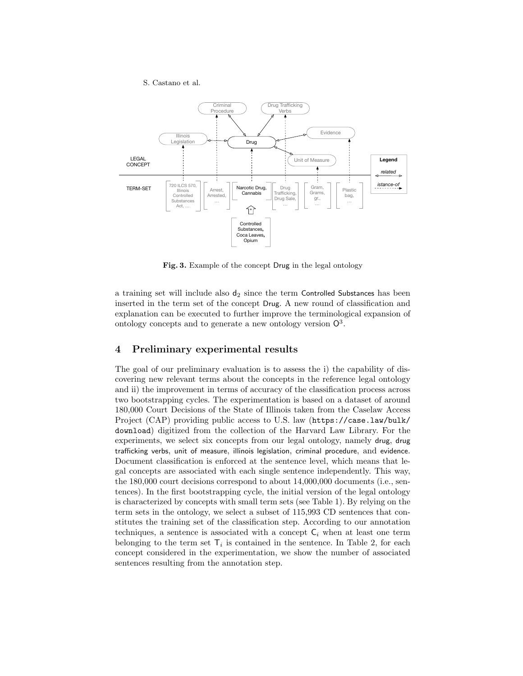S. Castano et al.



Fig. 3. Example of the concept Drug in the legal ontology

a training set will include also  $d_2$  since the term Controlled Substances has been inserted in the term set of the concept Drug. A new round of classification and explanation can be executed to further improve the terminological expansion of ontology concepts and to generate a new ontology version  $\mathbb{O}^3$ .

## 4 Preliminary experimental results

The goal of our preliminary evaluation is to assess the i) the capability of discovering new relevant terms about the concepts in the reference legal ontology and ii) the improvement in terms of accuracy of the classification process across two bootstrapping cycles. The experimentation is based on a dataset of around 180,000 Court Decisions of the State of Illinois taken from the Caselaw Access Project (CAP) providing public access to U.S. law (https://case.law/bulk/ download) digitized from the collection of the Harvard Law Library. For the experiments, we select six concepts from our legal ontology, namely drug, drug trafficking verbs, unit of measure, illinois legislation, criminal procedure, and evidence. Document classification is enforced at the sentence level, which means that legal concepts are associated with each single sentence independently. This way, the 180,000 court decisions correspond to about 14,000,000 documents (i.e., sentences). In the first bootstrapping cycle, the initial version of the legal ontology is characterized by concepts with small term sets (see Table 1). By relying on the term sets in the ontology, we select a subset of 115,993 CD sentences that constitutes the training set of the classification step. According to our annotation techniques, a sentence is associated with a concept  $C_i$  when at least one term belonging to the term set  $\mathsf{T}_i$  is contained in the sentence. In Table 2, for each concept considered in the experimentation, we show the number of associated sentences resulting from the annotation step.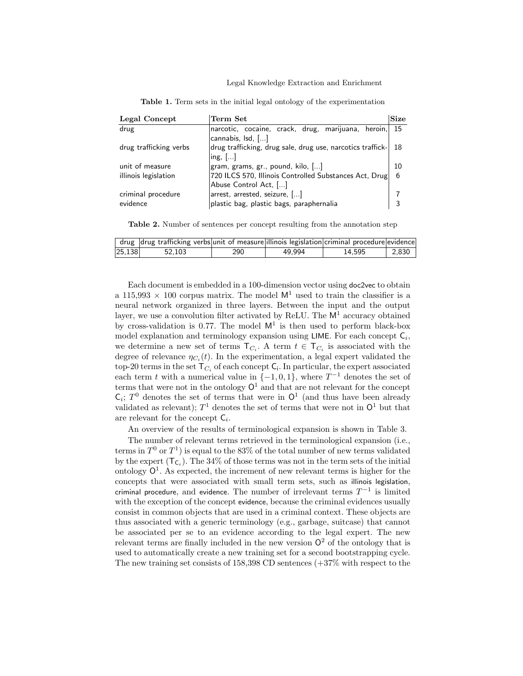#### Legal Knowledge Extraction and Enrichment

| Legal Concept          | Term Set                                                                                        | <b>Size</b> |  |  |  |  |
|------------------------|-------------------------------------------------------------------------------------------------|-------------|--|--|--|--|
| drug                   | narcotic, cocaine, crack, drug, marijuana, heroin,<br>cannabis, Isd, []                         | -15         |  |  |  |  |
| drug trafficking verbs | drug trafficking, drug sale, drug use, narcotics traffick-<br>$\ln g$ , $\left[ \ldots \right]$ |             |  |  |  |  |
| unit of measure        | gram, grams, gr., pound, kilo, []                                                               |             |  |  |  |  |
| illinois legislation   | 720 ILCS 570, Illinois Controlled Substances Act, Drug<br>Abuse Control Act, []                 |             |  |  |  |  |
| criminal procedure     | arrest, arrested, seizure, []                                                                   |             |  |  |  |  |
| evidence               | plastic bag, plastic bags, paraphernalia                                                        |             |  |  |  |  |

Table 1. Term sets in the initial legal ontology of the experimentation

Table 2. Number of sentences per concept resulting from the annotation step

|        | $\mid$ drug $\mid$ drug trafficking verbs $\mid$ unit of measure $\mid$ illinois legislation $\mid$ criminal procedure $\mid$ evidence |     |        |        |       |
|--------|----------------------------------------------------------------------------------------------------------------------------------------|-----|--------|--------|-------|
| 25,138 | 52.103                                                                                                                                 | 290 | 49.994 | 14.595 | 2.830 |

Each document is embedded in a 100-dimension vector using doc2vec to obtain a 115,993  $\times$  100 corpus matrix. The model  $M<sup>1</sup>$  used to train the classifier is a neural network organized in three layers. Between the input and the output layer, we use a convolution filter activated by ReLU. The  $M<sup>1</sup>$  accuracy obtained by cross-validation is 0.77. The model  $M<sup>1</sup>$  is then used to perform black-box model explanation and terminology expansion using LIME. For each concept  $C_i$ , we determine a new set of terms  $\mathsf{T}_{C_i}$ . A term  $t \in \mathsf{T}_{C_i}$  is associated with the degree of relevance  $\eta_{C_i}(t)$ . In the experimentation, a legal expert validated the top-20 terms in the set  $\mathsf{T}_{C_i}$  of each concept  $\mathsf{C}_i$ . In particular, the expert associated each term t with a numerical value in  $\{-1,0,1\}$ , where  $T^{-1}$  denotes the set of terms that were not in the ontology  $O^1$  and that are not relevant for the concept  $\mathsf{C}_i$ ;  $T^0$  denotes the set of terms that were in  $\mathsf{O}^1$  (and thus have been already validated as relevant);  $T^1$  denotes the set of terms that were not in  $\mathsf{O}^1$  but that are relevant for the concept  $C_i$ .

An overview of the results of terminological expansion is shown in Table 3.

The number of relevant terms retrieved in the terminological expansion (i.e., terms in  $T^0$  or  $T^1$ ) is equal to the 83% of the total number of new terms validated by the expert  $(\mathsf{T}_{\mathsf{C}_i})$ . The 34% of those terms was not in the term sets of the initial ontology  $\mathsf{O}^1$ . As expected, the increment of new relevant terms is higher for the concepts that were associated with small term sets, such as illinois legislation, criminal procedure, and evidence. The number of irrelevant terms  $T^{-1}$  is limited with the exception of the concept evidence, because the criminal evidences usually consist in common objects that are used in a criminal context. These objects are thus associated with a generic terminology (e.g., garbage, suitcase) that cannot be associated per se to an evidence according to the legal expert. The new relevant terms are finally included in the new version  $\mathbb{O}^2$  of the ontology that is used to automatically create a new training set for a second bootstrapping cycle. The new training set consists of 158,398 CD sentences (+37% with respect to the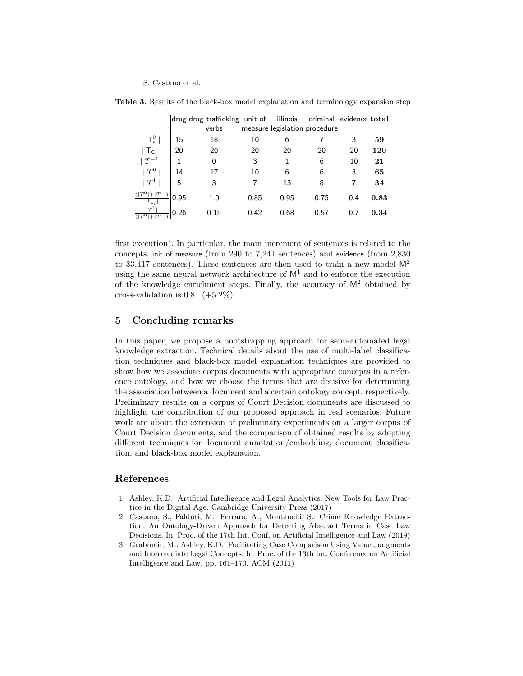|                                                  |      | drug drug trafficking unit of |      |                               | illinois criminal evidence total |     |      |
|--------------------------------------------------|------|-------------------------------|------|-------------------------------|----------------------------------|-----|------|
|                                                  |      | verbs                         |      | measure legislation procedure |                                  |     |      |
| $\mathsf{T}_i^0$                                 | 15   | 18                            | 10   | 6                             |                                  | 3   | 59   |
| $\mathsf{T}_{\mathsf{C}_i}$                      | 20   | 20                            | 20   | 20                            | 20                               | 20  | 120  |
| $\, \vdash T^{-1}$                               |      | 0                             | 3    | 1                             | 6                                | 10  | 21   |
| $\,^+T^0$                                        | 14   | 17                            | 10   | 6                             | 6                                | 3   | 65   |
| $T^1$                                            | 5    | 3                             |      | 13                            | 8                                |     | 34   |
| $( T^0 )$<br>$  + T^1  $<br>$ \mathsf{T_{C_i}} $ | 0.95 | 1.0                           | 0.85 | 0.95                          | 0.75                             | 0.4 | 0.83 |
| $\,^1$                                           | 0.26 | 0.15                          | 0.42 | 0.68                          | 0.57                             | 0.7 | 0.34 |

Table 3. Results of the black-box model explanation and terminology expansion step

first execution). In particular, the main increment of sentences is related to the concepts unit of measure (from 290 to 7,241 sentences) and evidence (from 2,830 to 33,417 sentences). These sentences are then used to train a new model  $M^2$ using the same neural network architecture of  $M<sup>1</sup>$  and to enforce the execution of the knowledge enrichment steps. Finally, the accuracy of  $M^2$  obtained by cross-validation is  $0.81$  (+5.2%).

## 5 Concluding remarks

In this paper, we propose a bootstrapping approach for semi-automated legal knowledge extraction. Technical details about the use of multi-label classification techniques and black-box model explanation techniques are provided to show how we associate corpus documents with appropriate concepts in a reference ontology, and how we choose the terms that are decisive for determining the association between a document and a certain ontology concept, respectively. Preliminary results on a corpus of Court Decision documents are discussed to highlight the contribution of our proposed approach in real scenarios. Future work are about the extension of preliminary experiments on a larger corpus of Court Decision documents, and the comparison of obtained results by adopting different techniques for document annotation/embedding, document classification, and black-box model explanation.

## References

- 1. Ashley, K.D.: Artificial Intelligence and Legal Analytics: New Tools for Law Practice in the Digital Age. Cambridge University Press (2017)
- 2. Castano, S., Falduti, M., Ferrara, A., Montanelli, S.: Crime Knowledge Extraction: An Ontology-Driven Approach for Detecting Abstract Terms in Case Law Decisions. In: Proc. of the 17th Int. Conf. on Artificial Intelligence and Law (2019)
- 3. Grabmair, M., Ashley, K.D.: Facilitating Case Comparison Using Value Judgments and Intermediate Legal Concepts. In: Proc. of the 13th Int. Conference on Artificial Intelligence and Law. pp. 161–170. ACM (2011)